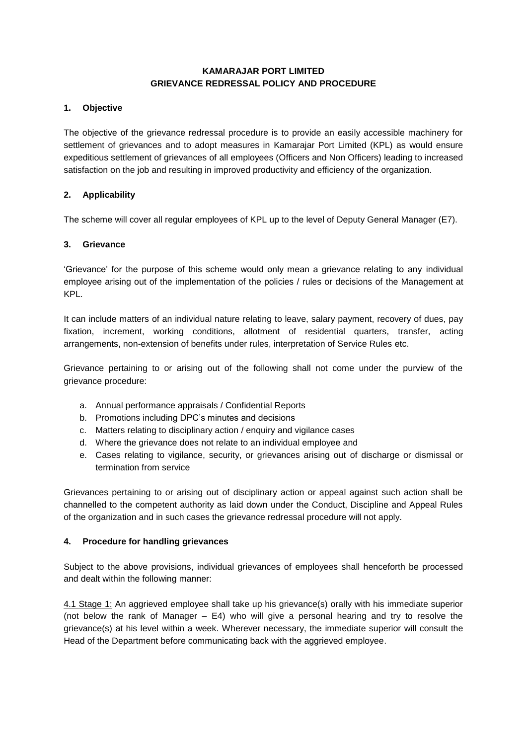### **KAMARAJAR PORT LIMITED GRIEVANCE REDRESSAL POLICY AND PROCEDURE**

### **1. Objective**

The objective of the grievance redressal procedure is to provide an easily accessible machinery for settlement of grievances and to adopt measures in Kamarajar Port Limited (KPL) as would ensure expeditious settlement of grievances of all employees (Officers and Non Officers) leading to increased satisfaction on the job and resulting in improved productivity and efficiency of the organization.

### **2. Applicability**

The scheme will cover all regular employees of KPL up to the level of Deputy General Manager (E7).

### **3. Grievance**

'Grievance' for the purpose of this scheme would only mean a grievance relating to any individual employee arising out of the implementation of the policies / rules or decisions of the Management at KPL.

It can include matters of an individual nature relating to leave, salary payment, recovery of dues, pay fixation, increment, working conditions, allotment of residential quarters, transfer, acting arrangements, non-extension of benefits under rules, interpretation of Service Rules etc.

Grievance pertaining to or arising out of the following shall not come under the purview of the grievance procedure:

- a. Annual performance appraisals / Confidential Reports
- b. Promotions including DPC's minutes and decisions
- c. Matters relating to disciplinary action / enquiry and vigilance cases
- d. Where the grievance does not relate to an individual employee and
- e. Cases relating to vigilance, security, or grievances arising out of discharge or dismissal or termination from service

Grievances pertaining to or arising out of disciplinary action or appeal against such action shall be channelled to the competent authority as laid down under the Conduct, Discipline and Appeal Rules of the organization and in such cases the grievance redressal procedure will not apply.

#### **4. Procedure for handling grievances**

Subject to the above provisions, individual grievances of employees shall henceforth be processed and dealt within the following manner:

4.1 Stage 1: An aggrieved employee shall take up his grievance(s) orally with his immediate superior (not below the rank of Manager – E4) who will give a personal hearing and try to resolve the grievance(s) at his level within a week. Wherever necessary, the immediate superior will consult the Head of the Department before communicating back with the aggrieved employee.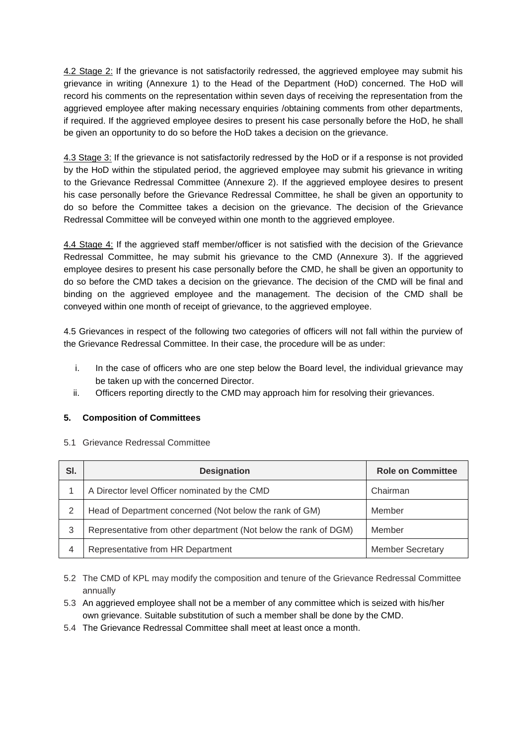4.2 Stage 2: If the grievance is not satisfactorily redressed, the aggrieved employee may submit his grievance in writing (Annexure 1) to the Head of the Department (HoD) concerned. The HoD will record his comments on the representation within seven days of receiving the representation from the aggrieved employee after making necessary enquiries /obtaining comments from other departments, if required. If the aggrieved employee desires to present his case personally before the HoD, he shall be given an opportunity to do so before the HoD takes a decision on the grievance.

4.3 Stage 3: If the grievance is not satisfactorily redressed by the HoD or if a response is not provided by the HoD within the stipulated period, the aggrieved employee may submit his grievance in writing to the Grievance Redressal Committee (Annexure 2). If the aggrieved employee desires to present his case personally before the Grievance Redressal Committee, he shall be given an opportunity to do so before the Committee takes a decision on the grievance. The decision of the Grievance Redressal Committee will be conveyed within one month to the aggrieved employee.

4.4 Stage 4: If the aggrieved staff member/officer is not satisfied with the decision of the Grievance Redressal Committee, he may submit his grievance to the CMD (Annexure 3). If the aggrieved employee desires to present his case personally before the CMD, he shall be given an opportunity to do so before the CMD takes a decision on the grievance. The decision of the CMD will be final and binding on the aggrieved employee and the management. The decision of the CMD shall be conveyed within one month of receipt of grievance, to the aggrieved employee.

4.5 Grievances in respect of the following two categories of officers will not fall within the purview of the Grievance Redressal Committee. In their case, the procedure will be as under:

- i. In the case of officers who are one step below the Board level, the individual grievance may be taken up with the concerned Director.
- ii. Officers reporting directly to the CMD may approach him for resolving their grievances.

## **5. Composition of Committees**

|  | 5.1 Grievance Redressal Committee |
|--|-----------------------------------|
|  |                                   |

| SI. | <b>Designation</b>                                               | <b>Role on Committee</b> |
|-----|------------------------------------------------------------------|--------------------------|
|     | A Director level Officer nominated by the CMD                    | Chairman                 |
| 2   | Head of Department concerned (Not below the rank of GM)          | Member                   |
| 3   | Representative from other department (Not below the rank of DGM) | Member                   |
| 4   | Representative from HR Department                                | <b>Member Secretary</b>  |

5.2 The CMD of KPL may modify the composition and tenure of the Grievance Redressal Committee annually

5.3 An aggrieved employee shall not be a member of any committee which is seized with his/her own grievance. Suitable substitution of such a member shall be done by the CMD.

5.4 The Grievance Redressal Committee shall meet at least once a month.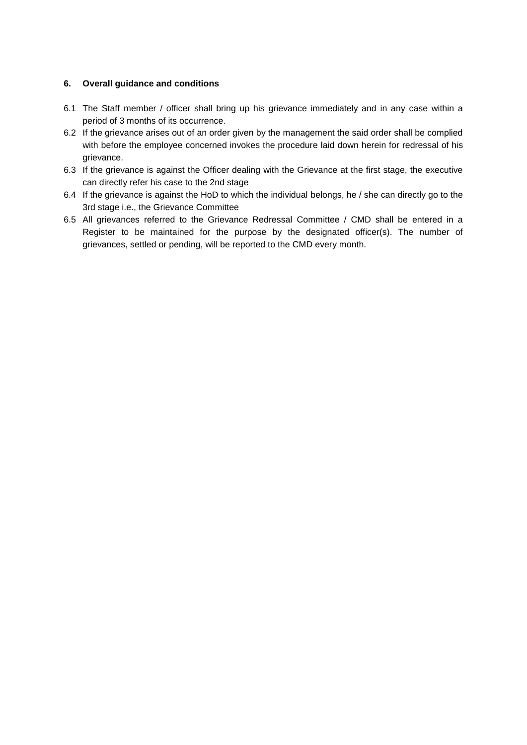#### **6. Overall guidance and conditions**

- 6.1 The Staff member / officer shall bring up his grievance immediately and in any case within a period of 3 months of its occurrence.
- 6.2 If the grievance arises out of an order given by the management the said order shall be complied with before the employee concerned invokes the procedure laid down herein for redressal of his grievance.
- 6.3 If the grievance is against the Officer dealing with the Grievance at the first stage, the executive can directly refer his case to the 2nd stage
- 6.4 If the grievance is against the HoD to which the individual belongs, he / she can directly go to the 3rd stage i.e., the Grievance Committee
- 6.5 All grievances referred to the Grievance Redressal Committee / CMD shall be entered in a Register to be maintained for the purpose by the designated officer(s). The number of grievances, settled or pending, will be reported to the CMD every month.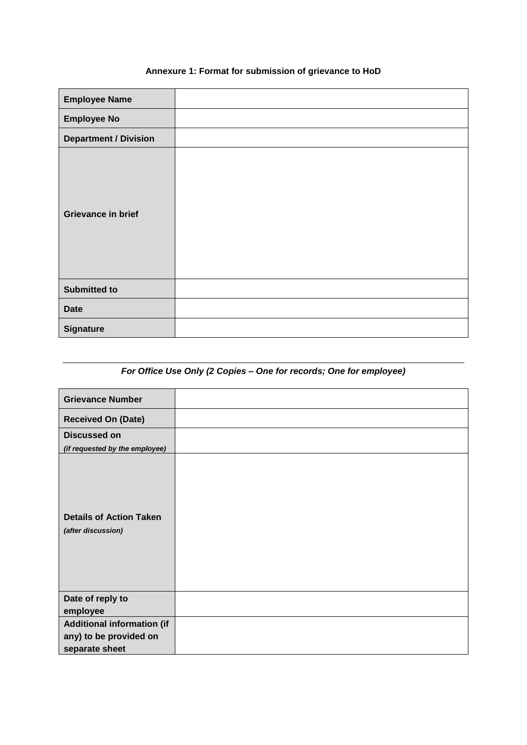# **Annexure 1: Format for submission of grievance to HoD**

| <b>Employee Name</b>         |  |
|------------------------------|--|
| <b>Employee No</b>           |  |
| <b>Department / Division</b> |  |
| <b>Grievance in brief</b>    |  |
| <b>Submitted to</b>          |  |
| <b>Date</b>                  |  |
| <b>Signature</b>             |  |

# *For Office Use Only (2 Copies – One for records; One for employee)*

| <b>Grievance Number</b>                              |  |
|------------------------------------------------------|--|
| <b>Received On (Date)</b>                            |  |
| <b>Discussed on</b>                                  |  |
| (if requested by the employee)                       |  |
| <b>Details of Action Taken</b><br>(after discussion) |  |
| Date of reply to                                     |  |
| employee                                             |  |
| <b>Additional information (if</b>                    |  |
| any) to be provided on                               |  |
| separate sheet                                       |  |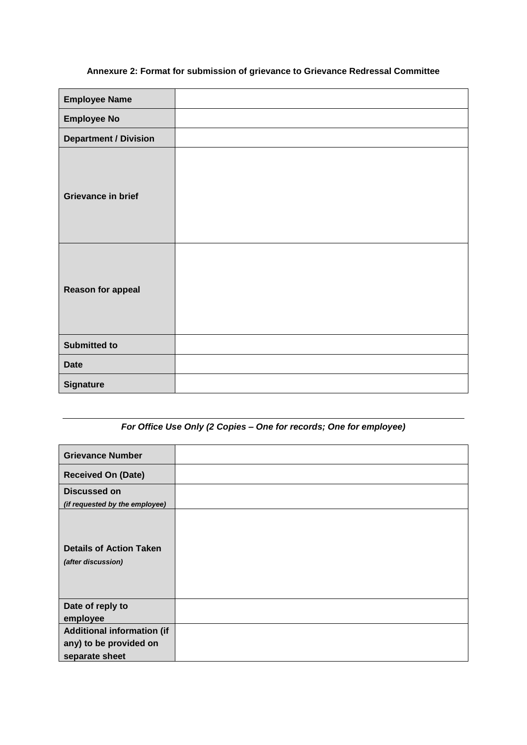# **Annexure 2: Format for submission of grievance to Grievance Redressal Committee**

| <b>Employee Name</b>         |  |
|------------------------------|--|
| <b>Employee No</b>           |  |
| <b>Department / Division</b> |  |
| Grievance in brief           |  |
| <b>Reason for appeal</b>     |  |
| <b>Submitted to</b>          |  |
| <b>Date</b>                  |  |
| <b>Signature</b>             |  |

# *For Office Use Only (2 Copies – One for records; One for employee)*

| <b>Grievance Number</b>                              |  |
|------------------------------------------------------|--|
| <b>Received On (Date)</b>                            |  |
| <b>Discussed on</b>                                  |  |
| (if requested by the employee)                       |  |
| <b>Details of Action Taken</b><br>(after discussion) |  |
| Date of reply to                                     |  |
| employee                                             |  |
| <b>Additional information (if</b>                    |  |
| any) to be provided on                               |  |
| separate sheet                                       |  |